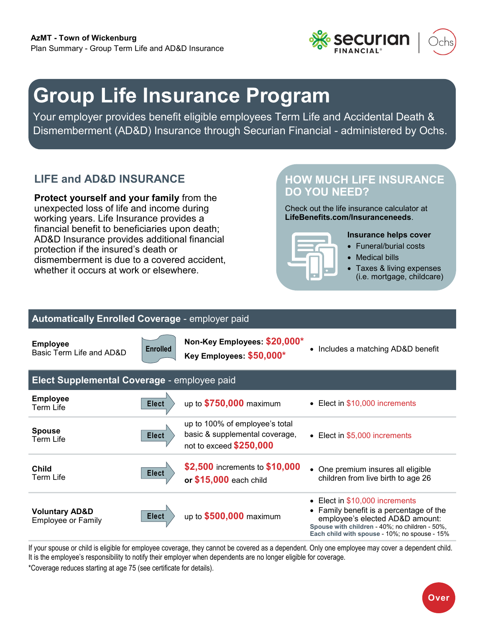

# **Group Life Insurance Program**

Your employer provides benefit eligible employees Term Life and Accidental Death & Dismemberment (AD&D) Insurance through Securian Financial - administered by Ochs.

## **LIFE and AD&D INSURANCE**

**Protect yourself and your family** from the unexpected loss of life and income during working years. Life Insurance provides a financial benefit to beneficiaries upon death; AD&D Insurance provides additional financial protection if the insured's death or dismemberment is due to a covered accident, whether it occurs at work or elsewhere.

### **HOW MUCH LIFE INSURANCE DO YOU NEED?**

Check out the life insurance calculator at **[LifeBenefits.com/Insuranceneeds](https://web1.lifebenefits.com/sites/lbwem/home/insurance-basics/insurance-needs-calculator)**.



### **Insurance helps cover**

- Funeral/burial costs
- Medical bills
- Taxes & living expenses (i.e. mortgage, childcare)

#### **Automatically Enrolled Coverage** - employer paid **Employee**  Basic Term Life and AD&D **Non-Key Employees: \$20,000\* Key Employees: \$50,000\*** • Includes a matching AD&D benefit **Elect Supplemental Coverage** - employee paid **Employee**  Term Life up to **\$750,000** maximum • Elect in \$10,000 increments **Spouse** Term Life up to 100% of employee's total basic & supplemental coverage, not to exceed **\$250,000** • Elect in \$5,000 increments **Child** Term Life **\$2,500** increments to **\$10,000 or \$15,000** each child • One premium insures all eligible children from live birth to age 26 **Voluntary AD&D Elect** up to **\$500,000** maximum<br>Employee or Family • Elect in \$10,000 increments • Family benefit is a percentage of the employee's elected AD&D amount: **Spouse with children** - 40%; no children - 50%, **Each child with spouse** - 10%; no spouse - 15% **Elect Enrolled Elect Elect Elect**

If your spouse or child is eligible for employee coverage, they cannot be covered as a dependent. Only one employee may cover a dependent child. It is the employee's responsibility to notify their employer when dependents are no longer eligible for coverage. \*Coverage reduces starting at age 75 (see certificate for details).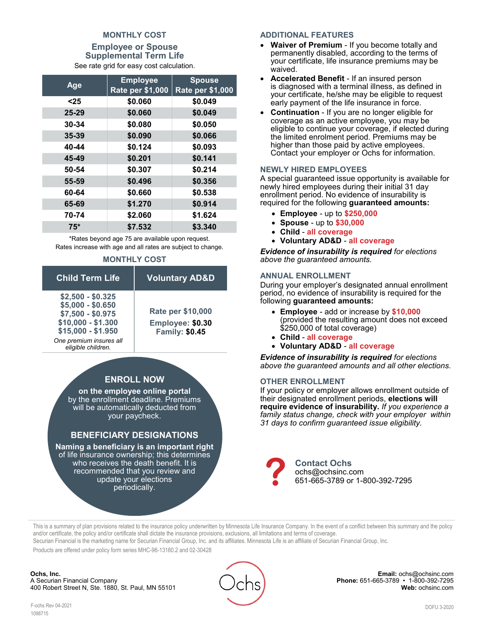### **MONTHLY COST**

**Employee or Spouse Supplemental Term Life** See rate grid for easy cost calculation.

| Age       | <b>Employee</b>         | <b>Spouse</b>           |  |  |  |
|-----------|-------------------------|-------------------------|--|--|--|
|           | <b>Rate per \$1,000</b> | <b>Rate per \$1,000</b> |  |  |  |
| $25$      | \$0.060                 | \$0.049                 |  |  |  |
| 25-29     | \$0.060                 | \$0.049                 |  |  |  |
| $30 - 34$ | \$0.080                 | \$0.050                 |  |  |  |
| $35 - 39$ | \$0.090                 | \$0.066                 |  |  |  |
| 40-44     | \$0.124                 | \$0.093                 |  |  |  |
| 45-49     | \$0.201                 | \$0.141                 |  |  |  |
| 50-54     | \$0.307                 | \$0.214                 |  |  |  |
| 55-59     | \$0.496                 | \$0.356                 |  |  |  |
| 60-64     | \$0.660                 | \$0.538                 |  |  |  |
| 65-69     | \$1.270                 | \$0.914                 |  |  |  |
| 70-74     | \$2.060                 | \$1.624                 |  |  |  |
| $75*$     | \$7.532                 | \$3.340                 |  |  |  |

\*Rates beyond age 75 are available upon request. Rates increase with age and all rates are subject to change.

#### **MONTHLY COST**

| <b>Child Term Life</b>                                                                                                                                   | <b>Voluntary AD&amp;D</b>                                             |
|----------------------------------------------------------------------------------------------------------------------------------------------------------|-----------------------------------------------------------------------|
| $$2,500 - $0.325$<br>$$5,000 - $0.650$<br>\$7,500 - \$0.975<br>$$10,000 - $1.300$<br>$$15,000 - $1.950$<br>One premium insures all<br>eligible children. | <b>Rate per \$10,000</b><br>Employee: \$0.30<br><b>Family: \$0.45</b> |
|                                                                                                                                                          |                                                                       |

### **ENROLL NOW**

**on the employee online portal** by the enrollment deadline. Premiums will be automatically deducted from your paycheck.

### **BENEFICIARY DESIGNATIONS**

**Naming a beneficiary is an important right**  of life insurance ownership; this determines who receives the death benefit. It is recommended that you review and update your elections periodically.

### **ADDITIONAL FEATURES**

- **Waiver of Premium** If you become totally and permanently disabled, according to the terms of your certificate, life insurance premiums may be waived.
- **Accelerated Benefit** If an insured person is diagnosed with a terminal illness, as defined in your certificate, he/she may be eligible to request early payment of the life insurance in force.
- **Continuation**  If you are no longer eligible for coverage as an active employee, you may be eligible to continue your coverage, if elected during the limited enrolment period. Premiums may be higher than those paid by active employees. Contact your employer or Ochs for information.

#### **NEWLY HIRED EMPLOYEES**

A special guaranteed issue opportunity is available for newly hired employees during their initial 31 day enrollment period. No evidence of insurability is required for the following **guaranteed amounts:** 

- **Employee** up to **\$250,000**
- **Spouse** up to **\$30,000**
- **Child all coverage**
- **Voluntary AD&D all coverage**

*Evidence of insurability is required for elections above the guaranteed amounts.* 

#### **ANNUAL ENROLLMENT**

During your employer's designated annual enrollment period, no evidence of insurability is required for the following **guaranteed amounts:** 

- **Employee** add or increase by **\$10,000** (provided the resulting amount does not exceed \$250,000 of total coverage)
- **Child all coverage**
- **Voluntary AD&D all coverage**

*Evidence of insurability is required for elections above the guaranteed amounts and all other elections.*

#### **OTHER ENROLLMENT**

If your policy or employer allows enrollment outside of their designated enrollment periods, **elections will require evidence of insurability.** *If you experience a family status change, check with your employer within 31 days to confirm guaranteed issue eligibility.*



This is a summary of plan provisions related to the insurance policy underwritten by Minnesota Life Insurance Company. In the event of a conflict between this summary and the policy and/or certificate, the policy and/or certificate shall dictate the insurance provisions, exclusions, all limitations and terms of coverage.

Securian Financial is the marketing name for Securian Financial Group, Inc. and its affiliates. Minnesota Life is an affiliate of Securian Financial Group, Inc.

Products are offered under policy form series MHC-96-13180.2 and 02-30428

**Ochs, Inc.** A Securian Financial Company 400 Robert Street N, Ste. 1880, St. Paul, MN 55101



**Email:** ochs@ochsinc.com **Phone:** 651-665-3789 • 1-800-392-7295 **Web:** [ochsinc.com](http://www.ochsinc.com/)

F-ochs Rev 04-2021 1098715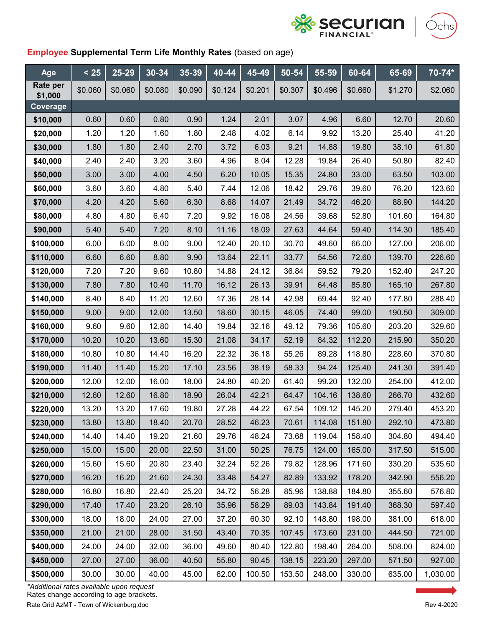

)chs)



| Age                 | < 25    | 25-29   | $30 - 34$ | $35 - 39$ | $40 - 44$ | $45 - 49$ | 50-54   | $55 - 59$ | 60-64   | 65-69   | 70-74*   |
|---------------------|---------|---------|-----------|-----------|-----------|-----------|---------|-----------|---------|---------|----------|
| Rate per<br>\$1,000 | \$0.060 | \$0.060 | \$0.080   | \$0.090   | \$0.124   | \$0.201   | \$0.307 | \$0.496   | \$0.660 | \$1.270 | \$2.060  |
| Coverage            |         |         |           |           |           |           |         |           |         |         |          |
| \$10,000            | 0.60    | 0.60    | 0.80      | 0.90      | 1.24      | 2.01      | 3.07    | 4.96      | 6.60    | 12.70   | 20.60    |
| \$20,000            | 1.20    | 1.20    | 1.60      | 1.80      | 2.48      | 4.02      | 6.14    | 9.92      | 13.20   | 25.40   | 41.20    |
| \$30,000            | 1.80    | 1.80    | 2.40      | 2.70      | 3.72      | 6.03      | 9.21    | 14.88     | 19.80   | 38.10   | 61.80    |
| \$40,000            | 2.40    | 2.40    | 3.20      | 3.60      | 4.96      | 8.04      | 12.28   | 19.84     | 26.40   | 50.80   | 82.40    |
| \$50,000            | 3.00    | 3.00    | 4.00      | 4.50      | 6.20      | 10.05     | 15.35   | 24.80     | 33.00   | 63.50   | 103.00   |
| \$60,000            | 3.60    | 3.60    | 4.80      | 5.40      | 7.44      | 12.06     | 18.42   | 29.76     | 39.60   | 76.20   | 123.60   |
| \$70,000            | 4.20    | 4.20    | 5.60      | 6.30      | 8.68      | 14.07     | 21.49   | 34.72     | 46.20   | 88.90   | 144.20   |
| \$80,000            | 4.80    | 4.80    | 6.40      | 7.20      | 9.92      | 16.08     | 24.56   | 39.68     | 52.80   | 101.60  | 164.80   |
| \$90,000            | 5.40    | 5.40    | 7.20      | 8.10      | 11.16     | 18.09     | 27.63   | 44.64     | 59.40   | 114.30  | 185.40   |
| \$100,000           | 6.00    | 6.00    | 8.00      | 9.00      | 12.40     | 20.10     | 30.70   | 49.60     | 66.00   | 127.00  | 206.00   |
| \$110,000           | 6.60    | 6.60    | 8.80      | 9.90      | 13.64     | 22.11     | 33.77   | 54.56     | 72.60   | 139.70  | 226.60   |
| \$120,000           | 7.20    | 7.20    | 9.60      | 10.80     | 14.88     | 24.12     | 36.84   | 59.52     | 79.20   | 152.40  | 247.20   |
| \$130,000           | 7.80    | 7.80    | 10.40     | 11.70     | 16.12     | 26.13     | 39.91   | 64.48     | 85.80   | 165.10  | 267.80   |
| \$140,000           | 8.40    | 8.40    | 11.20     | 12.60     | 17.36     | 28.14     | 42.98   | 69.44     | 92.40   | 177.80  | 288.40   |
| \$150,000           | 9.00    | 9.00    | 12.00     | 13.50     | 18.60     | 30.15     | 46.05   | 74.40     | 99.00   | 190.50  | 309.00   |
| \$160,000           | 9.60    | 9.60    | 12.80     | 14.40     | 19.84     | 32.16     | 49.12   | 79.36     | 105.60  | 203.20  | 329.60   |
| \$170,000           | 10.20   | 10.20   | 13.60     | 15.30     | 21.08     | 34.17     | 52.19   | 84.32     | 112.20  | 215.90  | 350.20   |
| \$180,000           | 10.80   | 10.80   | 14.40     | 16.20     | 22.32     | 36.18     | 55.26   | 89.28     | 118.80  | 228.60  | 370.80   |
| \$190,000           | 11.40   | 11.40   | 15.20     | 17.10     | 23.56     | 38.19     | 58.33   | 94.24     | 125.40  | 241.30  | 391.40   |
| \$200,000           | 12.00   | 12.00   | 16.00     | 18.00     | 24.80     | 40.20     | 61.40   | 99.20     | 132.00  | 254.00  | 412.00   |
| \$210,000           | 12.60   | 12.60   | 16.80     | 18.90     | 26.04     | 42.21     | 64.47   | 104.16    | 138.60  | 266.70  | 432.60   |
| \$220,000           | 13.20   | 13.20   | 17.60     | 19.80     | 27.28     | 44.22     | 67.54   | 109.12    | 145.20  | 279.40  | 453.20   |
| \$230,000           | 13.80   | 13.80   | 18.40     | 20.70     | 28.52     | 46.23     | 70.61   | 114.08    | 151.80  | 292.10  | 473.80   |
| \$240,000           | 14.40   | 14.40   | 19.20     | 21.60     | 29.76     | 48.24     | 73.68   | 119.04    | 158.40  | 304.80  | 494.40   |
| \$250,000           | 15.00   | 15.00   | 20.00     | 22.50     | 31.00     | 50.25     | 76.75   | 124.00    | 165.00  | 317.50  | 515.00   |
| \$260,000           | 15.60   | 15.60   | 20.80     | 23.40     | 32.24     | 52.26     | 79.82   | 128.96    | 171.60  | 330.20  | 535.60   |
| \$270,000           | 16.20   | 16.20   | 21.60     | 24.30     | 33.48     | 54.27     | 82.89   | 133.92    | 178.20  | 342.90  | 556.20   |
| \$280,000           | 16.80   | 16.80   | 22.40     | 25.20     | 34.72     | 56.28     | 85.96   | 138.88    | 184.80  | 355.60  | 576.80   |
| \$290,000           | 17.40   | 17.40   | 23.20     | 26.10     | 35.96     | 58.29     | 89.03   | 143.84    | 191.40  | 368.30  | 597.40   |
| \$300,000           | 18.00   | 18.00   | 24.00     | 27.00     | 37.20     | 60.30     | 92.10   | 148.80    | 198.00  | 381.00  | 618.00   |
| \$350,000           | 21.00   | 21.00   | 28.00     | 31.50     | 43.40     | 70.35     | 107.45  | 173.60    | 231.00  | 444.50  | 721.00   |
| \$400,000           | 24.00   | 24.00   | 32.00     | 36.00     | 49.60     | 80.40     | 122.80  | 198.40    | 264.00  | 508.00  | 824.00   |
| \$450,000           | 27.00   | 27.00   | 36.00     | 40.50     | 55.80     | 90.45     | 138.15  | 223.20    | 297.00  | 571.50  | 927.00   |
| \$500,000           | 30.00   | 30.00   | 40.00     | 45.00     | 62.00     | 100.50    | 153.50  | 248.00    | 330.00  | 635.00  | 1,030.00 |

Rate Grid AzMT - Town of Wickenburg.doc **Rev 4-2020** *\*Additional rates available upon request* Rates change according to age brackets.